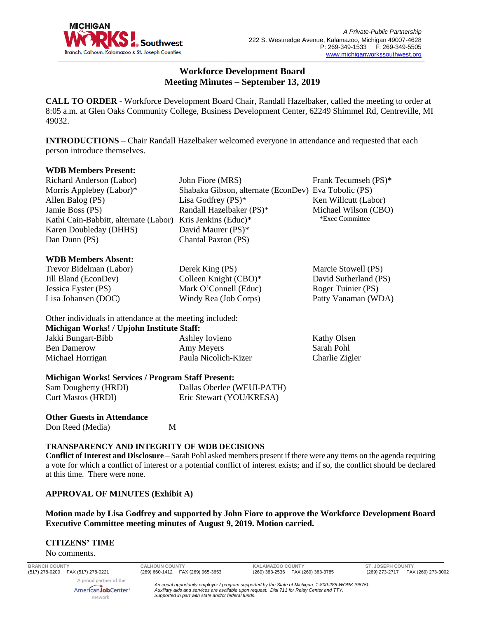

# **Workforce Development Board Meeting Minutes – September 13, 2019**

**CALL TO ORDER** - Workforce Development Board Chair, Randall Hazelbaker, called the meeting to order at 8:05 a.m. at Glen Oaks Community College, Business Development Center, 62249 Shimmel Rd, Centreville, MI 49032.

**INTRODUCTIONS** – Chair Randall Hazelbaker welcomed everyone in attendance and requested that each person introduce themselves.

## **WDB Members Present:**

| Richard Anderson (Labor)                                   | John Fiore (MRS)                                     | Frank Tecumseh (PS)* |
|------------------------------------------------------------|------------------------------------------------------|----------------------|
| Morris Applebey (Labor) $*$                                | Shabaka Gibson, alternate (EconDev) Eva Tobolic (PS) |                      |
| Allen Balog (PS)                                           | Lisa Godfrey $(PS)^*$                                | Ken Willcutt (Labor) |
| Jamie Boss (PS)                                            | Randall Hazelbaker (PS)*                             | Michael Wilson (CBO) |
| Kathi Cain-Babbitt, alternate (Labor) Kris Jenkins (Educ)* |                                                      | *Exec Committee      |
| Karen Doubleday (DHHS)                                     | David Maurer (PS)*                                   |                      |
| Dan Dunn (PS)                                              | Chantal Paxton (PS)                                  |                      |
|                                                            |                                                      |                      |
| $\mathbf{w}$                                               |                                                      |                      |

## **WDB Members Absent:**

Trevor Bidelman (Labor) Jill Bland (EconDev) Jessica Eyster (PS) Lisa Johansen (DOC)

Derek King (PS) Colleen Knight (CBO)\* Mark O'Connell (Educ) Windy Rea (Job Corps)

Marcie Stowell (PS) David Sutherland (PS) Roger Tuinier (PS) Patty Vanaman (WDA)

Kathy Olsen

Other individuals in attendance at the meeting included: **Michigan Works! / Upjohn Institute Staff:** Jakki Bungart-Bibb Ashley Iovieno

Ben Damerow Michael Horrigan Amy Meyers Paula Nicolich-Kizer Sarah Pohl Charlie Zigler

# **Michigan Works! Services / Program Staff Present:**

| Sam Dougherty (HRDI)      | Dallas Oberlee (WEUI-PATH) |
|---------------------------|----------------------------|
| <b>Curt Mastos (HRDI)</b> | Eric Stewart (YOU/KRESA)   |

## **Other Guests in Attendance** Don Reed (Media) M

# **TRANSPARENCY AND INTEGRITY OF WDB DECISIONS**

**Conflict of Interest and Disclosure** – Sarah Pohl asked members present if there were any items on the agenda requiring a vote for which a conflict of interest or a potential conflict of interest exists; and if so, the conflict should be declared at this time. There were none.

# **APPROVAL OF MINUTES (Exhibit A)**

# **Motion made by Lisa Godfrey and supported by John Fiore to approve the Workforce Development Board Executive Committee meeting minutes of August 9, 2019. Motion carried.**

#### **CITIZENS' TIME**

No comments.

**BRANCH COUNTY CALHOUN COUNTY KALAMAZOO COUNTY ST. JOSEPH COUNTY** A proud partner of the AmericanJobCenter<sup>®</sup>

network

*An equal opportunity employer / program supported by the State of Michigan. 1-800-285-WORK (9675). Auxiliary aids and services are available upon request. Dial 711 for Relay Center and TTY. Supported in part with state and/or federal funds.*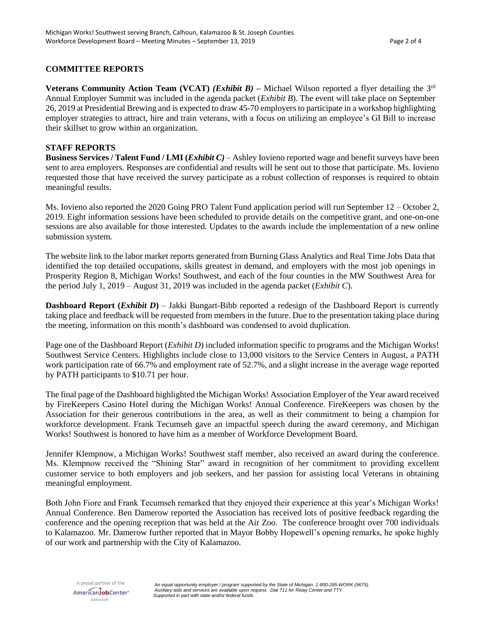# **COMMITTEE REPORTS**

**Veterans Community Action Team (VCAT)** *(Exhibit B)* – Michael Wilson reported a flyer detailing the 3<sup>rd</sup> Annual Employer Summit was included in the agenda packet (*Exhibit B*). The event will take place on September 26, 2019 at Presidential Brewing and is expected to draw 45-70 employers to participate in a workshop highlighting employer strategies to attract, hire and train veterans, with a focus on utilizing an employee's GI Bill to increase their skillset to grow within an organization.

## **STAFF REPORTS**

**Business Services / Talent Fund / LMI (***Exhibit C)* – Ashley Iovieno reported wage and benefit surveys have been sent to area employers. Responses are confidential and results will be sent out to those that participate. Ms. Iovieno requested those that have received the survey participate as a robust collection of responses is required to obtain meaningful results.

Ms. Iovieno also reported the 2020 Going PRO Talent Fund application period will run September 12 – October 2, 2019. Eight information sessions have been scheduled to provide details on the competitive grant, and one-on-one sessions are also available for those interested. Updates to the awards include the implementation of a new online submission system.

The website link to the labor market reports generated from Burning Glass Analytics and Real Time Jobs Data that identified the top detailed occupations, skills greatest in demand, and employers with the most job openings in Prosperity Region 8, Michigan Works! Southwest, and each of the four counties in the MW Southwest Area for the period July 1, 2019 – August 31, 2019 was included in the agenda packet (*Exhibit C*).

**Dashboard Report (***Exhibit D***)** – Jakki Bungart-Bibb reported a redesign of the Dashboard Report is currently taking place and feedback will be requested from members in the future. Due to the presentation taking place during the meeting, information on this month's dashboard was condensed to avoid duplication.

Page one of the Dashboard Report *(Exhibit D)* included information specific to programs and the Michigan Works! Southwest Service Centers. Highlights include close to 13,000 visitors to the Service Centers in August, a PATH work participation rate of 66.7% and employment rate of 52.7%, and a slight increase in the average wage reported by PATH participants to \$10.71 per hour.

The final page of the Dashboard highlighted the Michigan Works! Association Employer of the Year award received by FireKeepers Casino Hotel during the Michigan Works! Annual Conference. FireKeepers was chosen by the Association for their generous contributions in the area, as well as their commitment to being a champion for workforce development. Frank Tecumseh gave an impactful speech during the award ceremony, and Michigan Works! Southwest is honored to have him as a member of Workforce Development Board.

Jennifer Klempnow, a Michigan Works! Southwest staff member, also received an award during the conference. Ms. Klempnow received the "Shining Star" award in recognition of her commitment to providing excellent customer service to both employers and job seekers, and her passion for assisting local Veterans in obtaining meaningful employment.

Both John Fiore and Frank Tecumseh remarked that they enjoyed their experience at this year's Michigan Works! Annual Conference. Ben Damerow reported the Association has received lots of positive feedback regarding the conference and the opening reception that was held at the Air Zoo. The conference brought over 700 individuals to Kalamazoo. Mr. Damerow further reported that in Mayor Bobby Hopewell's opening remarks, he spoke highly of our work and partnership with the City of Kalamazoo.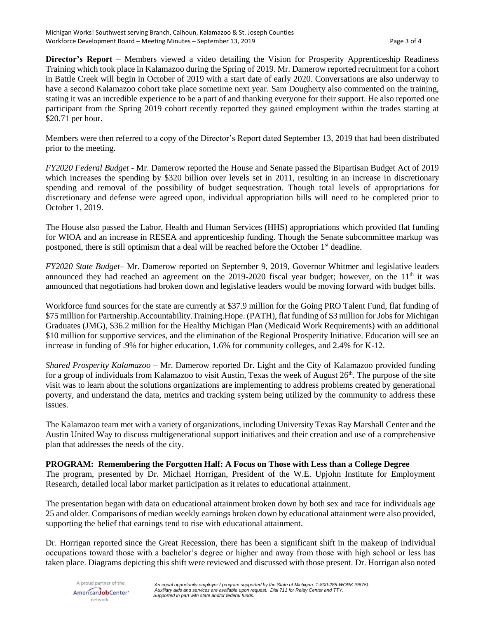**Director's Report** – Members viewed a video detailing the Vision for Prosperity Apprenticeship Readiness Training which took place in Kalamazoo during the Spring of 2019. Mr. Damerow reported recruitment for a cohort in Battle Creek will begin in October of 2019 with a start date of early 2020. Conversations are also underway to have a second Kalamazoo cohort take place sometime next year. Sam Dougherty also commented on the training, stating it was an incredible experience to be a part of and thanking everyone for their support. He also reported one participant from the Spring 2019 cohort recently reported they gained employment within the trades starting at \$20.71 per hour.

Members were then referred to a copy of the Director's Report dated September 13, 2019 that had been distributed prior to the meeting.

*FY2020 Federal Budget* - Mr. Damerow reported the House and Senate passed the Bipartisan Budget Act of 2019 which increases the spending by \$320 billion over levels set in 2011, resulting in an increase in discretionary spending and removal of the possibility of budget sequestration. Though total levels of appropriations for discretionary and defense were agreed upon, individual appropriation bills will need to be completed prior to October 1, 2019.

The House also passed the Labor, Health and Human Services (HHS) appropriations which provided flat funding for WIOA and an increase in RESEA and apprenticeship funding. Though the Senate subcommittee markup was postponed, there is still optimism that a deal will be reached before the October 1<sup>st</sup> deadline.

*FY2020 State Budget*– Mr. Damerow reported on September 9, 2019, Governor Whitmer and legislative leaders announced they had reached an agreement on the 2019-2020 fiscal year budget; however, on the  $11<sup>th</sup>$  it was announced that negotiations had broken down and legislative leaders would be moving forward with budget bills.

Workforce fund sources for the state are currently at \$37.9 million for the Going PRO Talent Fund, flat funding of \$75 million for Partnership.Accountability.Training.Hope. (PATH), flat funding of \$3 million for Jobs for Michigan Graduates (JMG), \$36.2 million for the Healthy Michigan Plan (Medicaid Work Requirements) with an additional \$10 million for supportive services, and the elimination of the Regional Prosperity Initiative. Education will see an increase in funding of .9% for higher education, 1.6% for community colleges, and 2.4% for K-12.

*Shared Prosperity Kalamazoo* – Mr. Damerow reported Dr. Light and the City of Kalamazoo provided funding for a group of individuals from Kalamazoo to visit Austin, Texas the week of August  $26<sup>th</sup>$ . The purpose of the site visit was to learn about the solutions organizations are implementing to address problems created by generational poverty, and understand the data, metrics and tracking system being utilized by the community to address these issues.

The Kalamazoo team met with a variety of organizations, including University Texas Ray Marshall Center and the Austin United Way to discuss multigenerational support initiatives and their creation and use of a comprehensive plan that addresses the needs of the city.

# **PROGRAM: Remembering the Forgotten Half: A Focus on Those with Less than a College Degree**

The program, presented by Dr. Michael Horrigan, President of the W.E. Upjohn Institute for Employment Research, detailed local labor market participation as it relates to educational attainment.

The presentation began with data on educational attainment broken down by both sex and race for individuals age 25 and older. Comparisons of median weekly earnings broken down by educational attainment were also provided, supporting the belief that earnings tend to rise with educational attainment.

Dr. Horrigan reported since the Great Recession, there has been a significant shift in the makeup of individual occupations toward those with a bachelor's degree or higher and away from those with high school or less has taken place. Diagrams depicting this shift were reviewed and discussed with those present. Dr. Horrigan also noted